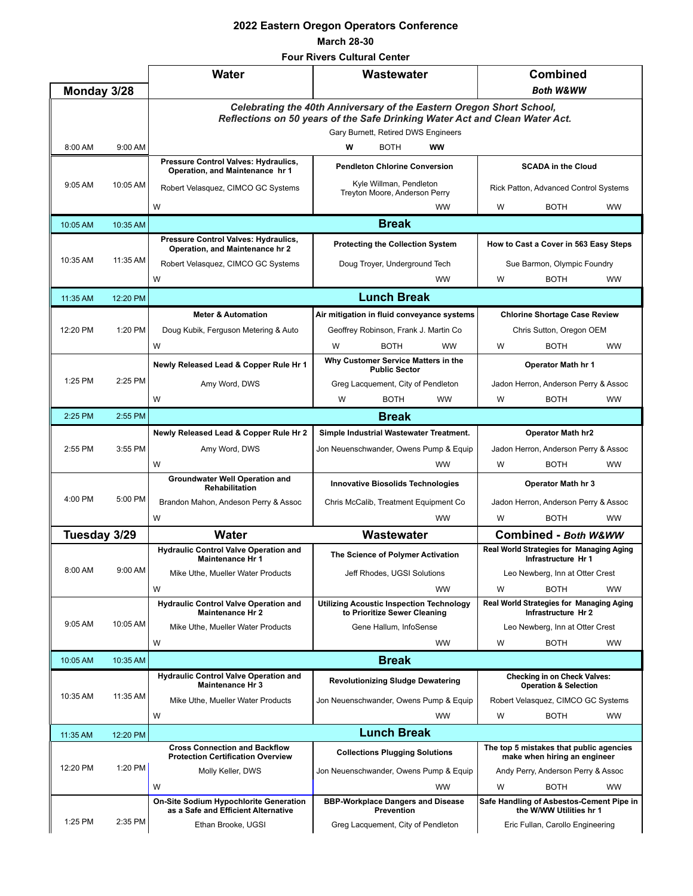## **2022 Eastern Oregon Operators Conference March 28-30**

## **Four Rivers Cultural Center**

|              |          | <b>Water</b>                                                                                                                                                                               | Wastewater                                                                      | <b>Combined</b>                                                         |  |  |  |  |  |  |  |
|--------------|----------|--------------------------------------------------------------------------------------------------------------------------------------------------------------------------------------------|---------------------------------------------------------------------------------|-------------------------------------------------------------------------|--|--|--|--|--|--|--|
| Monday 3/28  |          |                                                                                                                                                                                            |                                                                                 | <b>Both W&amp;WW</b>                                                    |  |  |  |  |  |  |  |
|              |          | Celebrating the 40th Anniversary of the Eastern Oregon Short School,<br>Reflections on 50 years of the Safe Drinking Water Act and Clean Water Act.<br>Gary Burnett, Retired DWS Engineers |                                                                                 |                                                                         |  |  |  |  |  |  |  |
| 8:00 AM      | 9:00 AM  | Pressure Control Valves: Hydraulics,                                                                                                                                                       | <b>BOTH</b><br><b>WW</b><br>w                                                   |                                                                         |  |  |  |  |  |  |  |
|              | 10:05 AM | Operation, and Maintenance hr 1                                                                                                                                                            | <b>Pendleton Chlorine Conversion</b>                                            | <b>SCADA in the Cloud</b>                                               |  |  |  |  |  |  |  |
| $9:05$ AM    |          | Robert Velasquez, CIMCO GC Systems                                                                                                                                                         | Kyle Willman, Pendleton<br>Treyton Moore, Anderson Perry                        | Rick Patton, Advanced Control Systems                                   |  |  |  |  |  |  |  |
|              |          | W                                                                                                                                                                                          | <b>WW</b>                                                                       | W<br><b>BOTH</b><br><b>WW</b>                                           |  |  |  |  |  |  |  |
| 10:05 AM     | 10:35 AM |                                                                                                                                                                                            | <b>Break</b>                                                                    |                                                                         |  |  |  |  |  |  |  |
| 10:35 AM     | 11:35 AM | Pressure Control Valves: Hydraulics,<br>Operation, and Maintenance hr 2                                                                                                                    | <b>Protecting the Collection System</b>                                         | How to Cast a Cover in 563 Easy Steps                                   |  |  |  |  |  |  |  |
|              |          | Robert Velasquez, CIMCO GC Systems                                                                                                                                                         | Doug Troyer, Underground Tech                                                   | Sue Barmon, Olympic Foundry                                             |  |  |  |  |  |  |  |
|              |          | W                                                                                                                                                                                          | <b>WW</b>                                                                       | W<br><b>BOTH</b><br><b>WW</b>                                           |  |  |  |  |  |  |  |
| 11:35 AM     | 12:20 PM |                                                                                                                                                                                            | <b>Lunch Break</b>                                                              |                                                                         |  |  |  |  |  |  |  |
|              | 1:20 PM  | <b>Meter &amp; Automation</b>                                                                                                                                                              | Air mitigation in fluid conveyance systems                                      | <b>Chlorine Shortage Case Review</b>                                    |  |  |  |  |  |  |  |
| 12:20 PM     |          | Doug Kubik, Ferguson Metering & Auto                                                                                                                                                       | Geoffrey Robinson, Frank J. Martin Co                                           | Chris Sutton, Oregon OEM                                                |  |  |  |  |  |  |  |
|              |          | W                                                                                                                                                                                          | <b>BOTH</b><br><b>WW</b><br>W                                                   | <b>BOTH</b><br><b>WW</b><br>W                                           |  |  |  |  |  |  |  |
|              | 2:25 PM  | Newly Released Lead & Copper Rule Hr 1                                                                                                                                                     | Why Customer Service Matters in the<br><b>Public Sector</b>                     | Operator Math hr 1                                                      |  |  |  |  |  |  |  |
| 1:25 PM      |          | Amy Word, DWS                                                                                                                                                                              | Greg Lacquement, City of Pendleton                                              | Jadon Herron, Anderson Perry & Assoc                                    |  |  |  |  |  |  |  |
|              |          | W                                                                                                                                                                                          | <b>BOTH</b><br><b>WW</b><br>W                                                   | W<br><b>BOTH</b><br><b>WW</b>                                           |  |  |  |  |  |  |  |
| 2:25 PM      | 2:55 PM  | <b>Break</b>                                                                                                                                                                               |                                                                                 |                                                                         |  |  |  |  |  |  |  |
|              | 3:55 PM  | Newly Released Lead & Copper Rule Hr 2                                                                                                                                                     | Simple Industrial Wastewater Treatment.                                         | <b>Operator Math hr2</b>                                                |  |  |  |  |  |  |  |
| 2:55 PM      |          | Amy Word, DWS                                                                                                                                                                              | Jon Neuenschwander, Owens Pump & Equip                                          | Jadon Herron, Anderson Perry & Assoc                                    |  |  |  |  |  |  |  |
|              |          | W                                                                                                                                                                                          | <b>WW</b>                                                                       | <b>WW</b><br>W<br><b>BOTH</b>                                           |  |  |  |  |  |  |  |
|              | 5:00 PM  | <b>Groundwater Well Operation and</b><br>Rehabilitation                                                                                                                                    | <b>Innovative Biosolids Technologies</b>                                        | Operator Math hr 3                                                      |  |  |  |  |  |  |  |
| 4:00 PM      |          | Brandon Mahon, Andeson Perry & Assoc                                                                                                                                                       | Chris McCalib, Treatment Equipment Co.                                          | Jadon Herron, Anderson Perry & Assoc                                    |  |  |  |  |  |  |  |
|              |          | W                                                                                                                                                                                          | <b>WW</b>                                                                       | W<br><b>BOTH</b><br><b>WW</b>                                           |  |  |  |  |  |  |  |
| Tuesday 3/29 |          | Water                                                                                                                                                                                      | Wastewater                                                                      | Combined - Both W&WW                                                    |  |  |  |  |  |  |  |
|              | 9:00 AM  | <b>Hydraulic Control Valve Operation and</b><br><b>Maintenance Hr 1</b>                                                                                                                    | The Science of Polymer Activation                                               | <b>Real World Strategies for Managing Aging</b><br>Infrastructure Hr 1  |  |  |  |  |  |  |  |
| 8:00 AM      |          | Mike Uthe, Mueller Water Products                                                                                                                                                          | Jeff Rhodes, UGSI Solutions                                                     | Leo Newberg, Inn at Otter Crest                                         |  |  |  |  |  |  |  |
|              |          | W                                                                                                                                                                                          | <b>WW</b>                                                                       | W<br><b>BOTH</b><br><b>WW</b>                                           |  |  |  |  |  |  |  |
|              | 10:05 AM | <b>Hydraulic Control Valve Operation and</b><br><b>Maintenance Hr 2</b>                                                                                                                    | <b>Utilizing Acoustic Inspection Technology</b><br>to Prioritize Sewer Cleaning | Real World Strategies for Managing Aging<br>Infrastructure Hr 2         |  |  |  |  |  |  |  |
| $9:05$ AM    |          | Mike Uthe, Mueller Water Products                                                                                                                                                          | Gene Hallum, InfoSense                                                          | Leo Newberg, Inn at Otter Crest                                         |  |  |  |  |  |  |  |
|              |          | W                                                                                                                                                                                          | <b>WW</b>                                                                       | W<br><b>BOTH</b><br><b>WW</b>                                           |  |  |  |  |  |  |  |
| 10:05 AM     | 10:35 AM |                                                                                                                                                                                            | <b>Break</b>                                                                    |                                                                         |  |  |  |  |  |  |  |
|              |          | <b>Hydraulic Control Valve Operation and</b><br><b>Maintenance Hr 3</b>                                                                                                                    | <b>Revolutionizing Sludge Dewatering</b>                                        | <b>Checking in on Check Valves:</b><br><b>Operation &amp; Selection</b> |  |  |  |  |  |  |  |
| 10:35 AM     | 11:35 AM | Mike Uthe, Mueller Water Products                                                                                                                                                          | Jon Neuenschwander, Owens Pump & Equip                                          | Robert Velasquez, CIMCO GC Systems                                      |  |  |  |  |  |  |  |
|              |          | W                                                                                                                                                                                          | <b>WW</b>                                                                       | W<br><b>BOTH</b><br><b>WW</b>                                           |  |  |  |  |  |  |  |
| 11:35 AM     | 12:20 PM |                                                                                                                                                                                            | <b>Lunch Break</b>                                                              |                                                                         |  |  |  |  |  |  |  |
|              | 1:20 PM  | <b>Cross Connection and Backflow</b><br><b>Protection Certification Overview</b>                                                                                                           | <b>Collections Plugging Solutions</b>                                           | The top 5 mistakes that public agencies<br>make when hiring an engineer |  |  |  |  |  |  |  |
| 12:20 PM     |          | Molly Keller, DWS                                                                                                                                                                          | Jon Neuenschwander, Owens Pump & Equip                                          | Andy Perry, Anderson Perry & Assoc                                      |  |  |  |  |  |  |  |
|              |          | W                                                                                                                                                                                          | <b>WW</b>                                                                       | W<br><b>BOTH</b><br><b>WW</b>                                           |  |  |  |  |  |  |  |
|              | 2:35 PM  | <b>On-Site Sodium Hypochlorite Generation</b><br>as a Safe and Efficient Alternative                                                                                                       | <b>BBP-Workplace Dangers and Disease</b><br><b>Prevention</b>                   | Safe Handling of Asbestos-Cement Pipe in<br>the W/WW Utilities hr 1     |  |  |  |  |  |  |  |
| 1:25 PM      |          | Ethan Brooke, UGSI                                                                                                                                                                         | Greg Lacquement, City of Pendleton                                              | Eric Fullan, Carollo Engineering                                        |  |  |  |  |  |  |  |